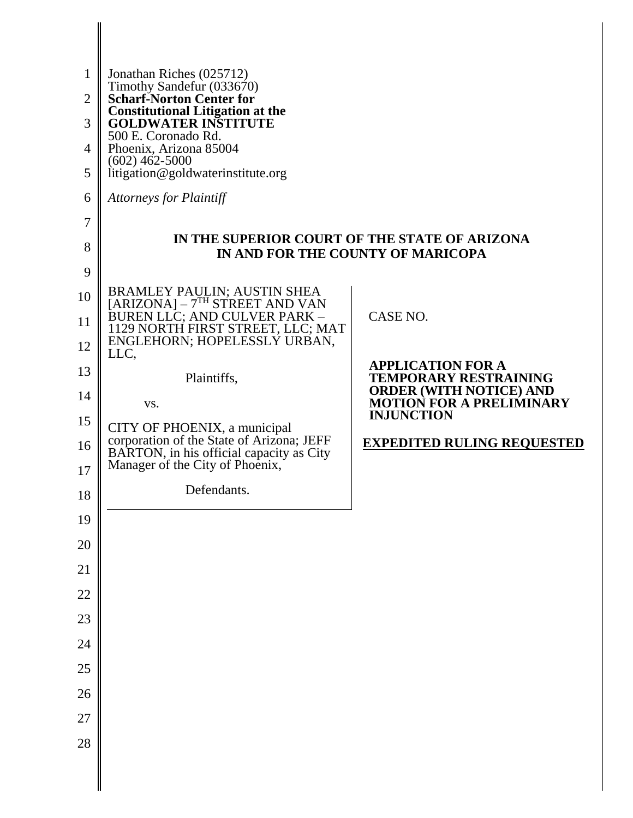| 1              | Jonathan Riches (025712)                                                                                  |                                                                |
|----------------|-----------------------------------------------------------------------------------------------------------|----------------------------------------------------------------|
| $\overline{2}$ | Timothy Sandefur (033670)<br><b>Scharf-Norton Center for</b><br><b>Constitutional Litigation at the</b>   |                                                                |
| 3              | <b>GOLDWATER INSTITUTE</b><br>500 E. Coronado Rd.                                                         |                                                                |
| $\overline{4}$ | Phoenix, Arizona 85004<br>$(602)$ 462-5000                                                                |                                                                |
| 5              | litigation@goldwaterinstitute.org                                                                         |                                                                |
| 6              | <b>Attorneys for Plaintiff</b>                                                                            |                                                                |
| 7              | IN THE SUPERIOR COURT OF THE STATE OF ARIZONA                                                             |                                                                |
| 8              | IN AND FOR THE COUNTY OF MARICOPA                                                                         |                                                                |
| 9              |                                                                                                           |                                                                |
| 10             | BRAMLEY PAULIN; AUSTIN SHEA<br>[ARIZONA] – 7 <sup>TH</sup> STREET AND VAN<br>BUREN LLC; AND CULVER PARK – | CASE NO.                                                       |
| 11<br>12       | 1129 NORTH FIRST STREET, LLC; MAT<br>ENGLEHORN; HOPELESSLY URBAN,                                         |                                                                |
| 13             | LLC,                                                                                                      | <b>APPLICATION FOR A</b>                                       |
| 14             | Plaintiffs,                                                                                               | <b>TEMPORARY RESTRAINING</b><br><b>ORDER (WITH NOTICE) AND</b> |
| 15             | VS.                                                                                                       | <b>MOTION FOR A PRELIMINARY</b><br><b>INJUNCTION</b>           |
| 16             | CITY OF PHOENIX, a municipal<br>corporation of the State of Arizona; JEFF                                 | <b>EXPEDITED RULING REQUESTED</b>                              |
| 17             | BARTON, in his official capacity as City<br>Manager of the City of Phoenix,                               |                                                                |
| 18             | Defendants.                                                                                               |                                                                |
| 19             |                                                                                                           |                                                                |
| $20\,$         |                                                                                                           |                                                                |
| 21             |                                                                                                           |                                                                |
| $22\,$         |                                                                                                           |                                                                |
| 23             |                                                                                                           |                                                                |
| 24             |                                                                                                           |                                                                |
| 25             |                                                                                                           |                                                                |
| 26             |                                                                                                           |                                                                |
| $27\,$         |                                                                                                           |                                                                |
| 28             |                                                                                                           |                                                                |
|                |                                                                                                           |                                                                |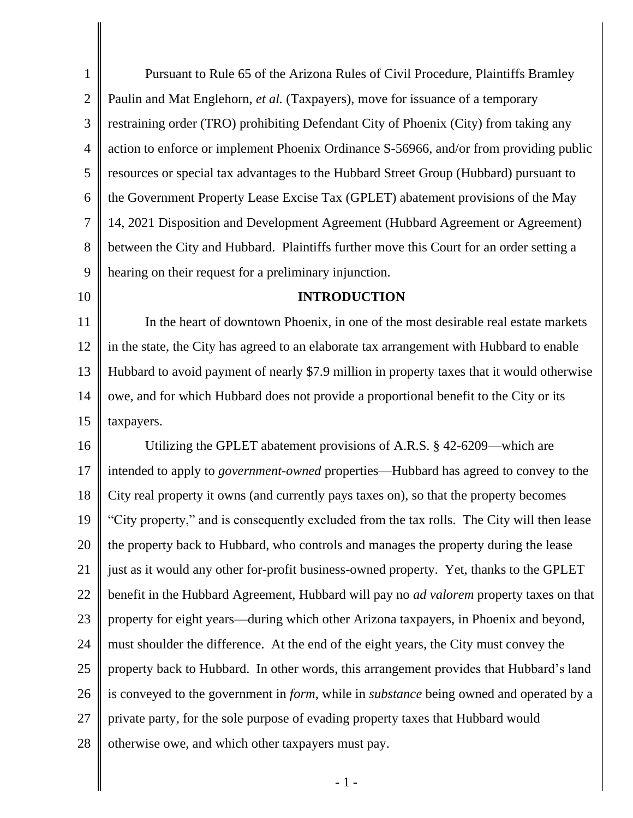1 2 3 4 5 6 7 8 9 Pursuant to Rule 65 of the Arizona Rules of Civil Procedure, Plaintiffs Bramley Paulin and Mat Englehorn, *et al.* (Taxpayers), move for issuance of a temporary restraining order (TRO) prohibiting Defendant City of Phoenix (City) from taking any action to enforce or implement Phoenix Ordinance S-56966, and/or from providing public resources or special tax advantages to the Hubbard Street Group (Hubbard) pursuant to the Government Property Lease Excise Tax (GPLET) abatement provisions of the May 14, 2021 Disposition and Development Agreement (Hubbard Agreement or Agreement) between the City and Hubbard. Plaintiffs further move this Court for an order setting a hearing on their request for a preliminary injunction.

10

#### **INTRODUCTION**

11 12 13 14 15 In the heart of downtown Phoenix, in one of the most desirable real estate markets in the state, the City has agreed to an elaborate tax arrangement with Hubbard to enable Hubbard to avoid payment of nearly \$7.9 million in property taxes that it would otherwise owe, and for which Hubbard does not provide a proportional benefit to the City or its taxpayers.

16 17 18 19 20 21 22 23 24 25 26 27 28 Utilizing the GPLET abatement provisions of A.R.S. § 42-6209—which are intended to apply to *government-owned* properties—Hubbard has agreed to convey to the City real property it owns (and currently pays taxes on), so that the property becomes "City property," and is consequently excluded from the tax rolls. The City will then lease the property back to Hubbard, who controls and manages the property during the lease just as it would any other for-profit business-owned property. Yet, thanks to the GPLET benefit in the Hubbard Agreement, Hubbard will pay no *ad valorem* property taxes on that property for eight years—during which other Arizona taxpayers, in Phoenix and beyond, must shoulder the difference. At the end of the eight years, the City must convey the property back to Hubbard. In other words, this arrangement provides that Hubbard's land is conveyed to the government in *form*, while in *substance* being owned and operated by a private party, for the sole purpose of evading property taxes that Hubbard would otherwise owe, and which other taxpayers must pay.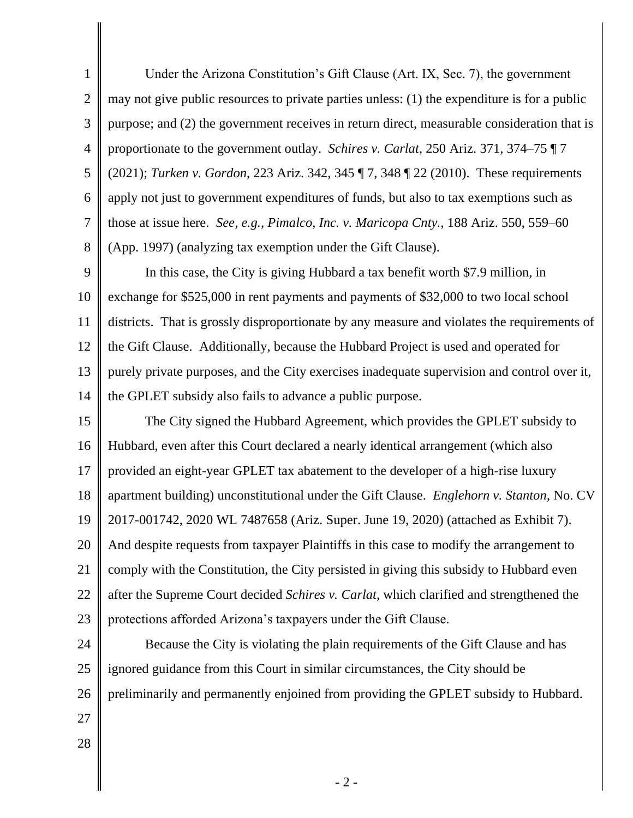1 2 3 4 5 6 7 8 Under the Arizona Constitution's Gift Clause (Art. IX, Sec. 7), the government may not give public resources to private parties unless: (1) the expenditure is for a public purpose; and (2) the government receives in return direct, measurable consideration that is proportionate to the government outlay. *Schires v. Carlat*, 250 Ariz. 371, 374–75 ¶ 7 (2021); *Turken v. Gordon*, 223 Ariz. 342, 345 ¶ 7, 348 ¶ 22 (2010). These requirements apply not just to government expenditures of funds, but also to tax exemptions such as those at issue here. *See, e.g., Pimalco, Inc. v. Maricopa Cnty.*, 188 Ariz. 550, 559–60 (App. 1997) (analyzing tax exemption under the Gift Clause).

9 10 11 12 13 14 In this case, the City is giving Hubbard a tax benefit worth \$7.9 million, in exchange for \$525,000 in rent payments and payments of \$32,000 to two local school districts. That is grossly disproportionate by any measure and violates the requirements of the Gift Clause. Additionally, because the Hubbard Project is used and operated for purely private purposes, and the City exercises inadequate supervision and control over it, the GPLET subsidy also fails to advance a public purpose.

15 16 17 18 19 20 21 22 23 The City signed the Hubbard Agreement, which provides the GPLET subsidy to Hubbard, even after this Court declared a nearly identical arrangement (which also provided an eight-year GPLET tax abatement to the developer of a high-rise luxury apartment building) unconstitutional under the Gift Clause. *Englehorn v. Stanton*, No. CV 2017-001742, 2020 WL 7487658 (Ariz. Super. June 19, 2020) (attached as Exhibit 7). And despite requests from taxpayer Plaintiffs in this case to modify the arrangement to comply with the Constitution, the City persisted in giving this subsidy to Hubbard even after the Supreme Court decided *Schires v. Carlat*, which clarified and strengthened the protections afforded Arizona's taxpayers under the Gift Clause.

24 25 26 27 Because the City is violating the plain requirements of the Gift Clause and has ignored guidance from this Court in similar circumstances, the City should be preliminarily and permanently enjoined from providing the GPLET subsidy to Hubbard.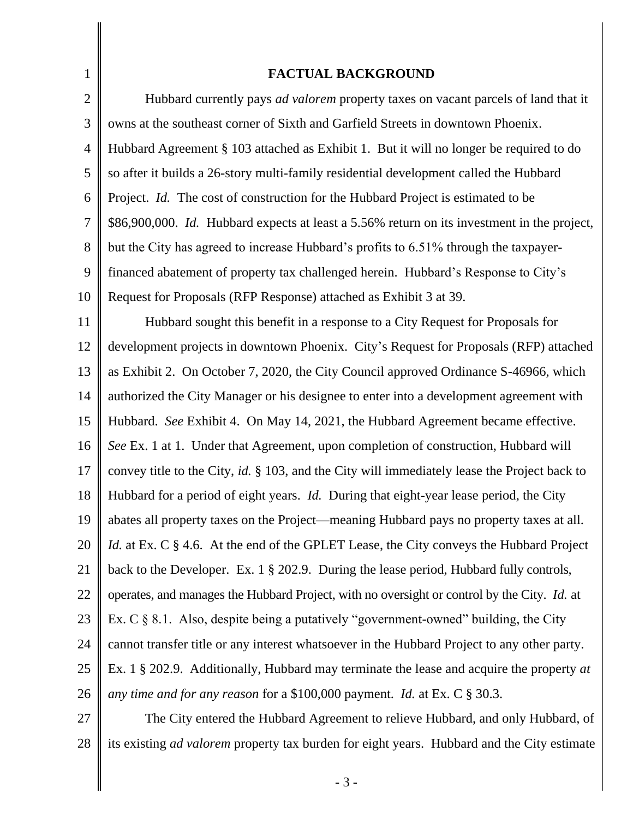| $\mathbf{1}$   | <b>FACTUAL BACKGROUND</b>                                                                         |
|----------------|---------------------------------------------------------------------------------------------------|
| $\mathbf{2}$   | Hubbard currently pays <i>ad valorem</i> property taxes on vacant parcels of land that it         |
| 3              | owns at the southeast corner of Sixth and Garfield Streets in downtown Phoenix.                   |
| $\overline{4}$ | Hubbard Agreement § 103 attached as Exhibit 1. But it will no longer be required to do            |
| 5              | so after it builds a 26-story multi-family residential development called the Hubbard             |
| 6              | Project. Id. The cost of construction for the Hubbard Project is estimated to be                  |
| $\overline{7}$ | \$86,900,000. Id. Hubbard expects at least a 5.56% return on its investment in the project,       |
| 8              | but the City has agreed to increase Hubbard's profits to 6.51% through the taxpayer-              |
| 9              | financed abatement of property tax challenged herein. Hubbard's Response to City's                |
| 10             | Request for Proposals (RFP Response) attached as Exhibit 3 at 39.                                 |
| 11             | Hubbard sought this benefit in a response to a City Request for Proposals for                     |
| 12             | development projects in downtown Phoenix. City's Request for Proposals (RFP) attached             |
| 13             | as Exhibit 2. On October 7, 2020, the City Council approved Ordinance S-46966, which              |
| 14             | authorized the City Manager or his designee to enter into a development agreement with            |
| 15             | Hubbard. See Exhibit 4. On May 14, 2021, the Hubbard Agreement became effective.                  |
| 16             | See Ex. 1 at 1. Under that Agreement, upon completion of construction, Hubbard will               |
| 17             | convey title to the City, id. § 103, and the City will immediately lease the Project back to      |
| 18             | Hubbard for a period of eight years. <i>Id.</i> During that eight-year lease period, the City     |
| 19             | abates all property taxes on the Project—meaning Hubbard pays no property taxes at all.           |
| 20             | <i>Id.</i> at Ex. C § 4.6. At the end of the GPLET Lease, the City conveys the Hubbard Project    |
| 21             | back to the Developer. Ex. 1 § 202.9. During the lease period, Hubbard fully controls,            |
| 22             | operates, and manages the Hubbard Project, with no oversight or control by the City. Id. at       |
| 23             | Ex. $C \S 8.1$ . Also, despite being a putatively "government-owned" building, the City           |
| 24             | cannot transfer title or any interest whatsoever in the Hubbard Project to any other party.       |
| 25             | Ex. 1 § 202.9. Additionally, Hubbard may terminate the lease and acquire the property at          |
| 26             | any time and for any reason for a \$100,000 payment. <i>Id.</i> at Ex. $C \S 30.3$ .              |
| 27             | The City entered the Hubbard Agreement to relieve Hubbard, and only Hubbard, of                   |
| 28             | its existing <i>ad valorem</i> property tax burden for eight years. Hubbard and the City estimate |

- 3 -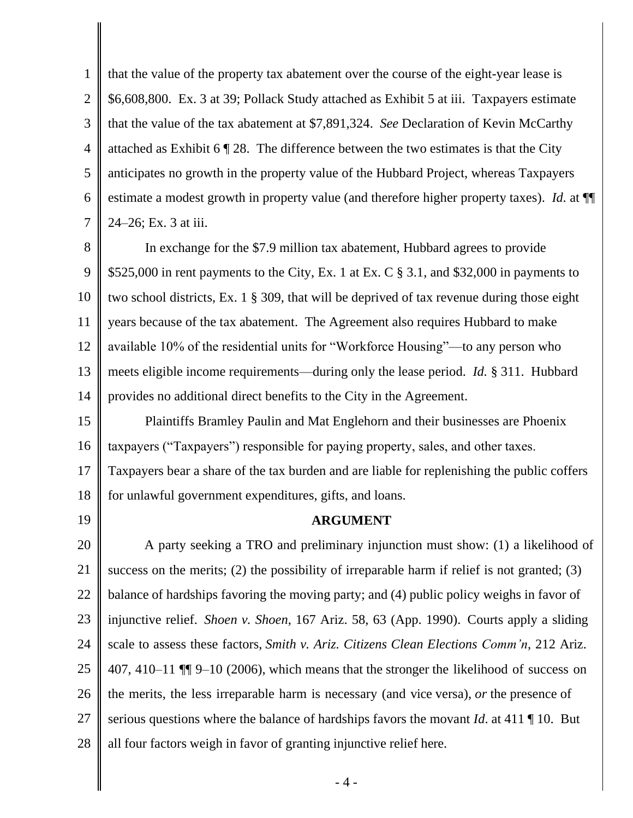1 2 3 4 5 6 7 that the value of the property tax abatement over the course of the eight-year lease is \$6,608,800. Ex. 3 at 39; Pollack Study attached as Exhibit 5 at iii. Taxpayers estimate that the value of the tax abatement at \$7,891,324. *See* Declaration of Kevin McCarthy attached as Exhibit 6 ¶ 28. The difference between the two estimates is that the City anticipates no growth in the property value of the Hubbard Project, whereas Taxpayers estimate a modest growth in property value (and therefore higher property taxes). *Id.* at ¶¶ 24–26; Ex. 3 at iii.

8 9 10 11 12 13 14 In exchange for the \$7.9 million tax abatement, Hubbard agrees to provide \$525,000 in rent payments to the City, Ex. 1 at Ex. C  $\S$  3.1, and \$32,000 in payments to two school districts, Ex. 1 § 309, that will be deprived of tax revenue during those eight years because of the tax abatement. The Agreement also requires Hubbard to make available 10% of the residential units for "Workforce Housing"—to any person who meets eligible income requirements—during only the lease period. *Id.* § 311. Hubbard provides no additional direct benefits to the City in the Agreement.

15 16 Plaintiffs Bramley Paulin and Mat Englehorn and their businesses are Phoenix taxpayers ("Taxpayers") responsible for paying property, sales, and other taxes.

17 18 Taxpayers bear a share of the tax burden and are liable for replenishing the public coffers for unlawful government expenditures, gifts, and loans.

19

# **ARGUMENT**

20 21 22 23 24 25 26 27 28 A party seeking a TRO and preliminary injunction must show: (1) a likelihood of success on the merits; (2) the possibility of irreparable harm if relief is not granted; (3) balance of hardships favoring the moving party; and (4) public policy weighs in favor of injunctive relief. *Shoen v. Shoen*, 167 Ariz. 58, 63 (App. 1990). Courts apply a sliding scale to assess these factors, *Smith v. Ariz. Citizens Clean Elections Comm'n*, 212 Ariz. 407, 410–11 ¶¶ 9–10 (2006), which means that the stronger the likelihood of success on the merits, the less irreparable harm is necessary (and vice versa), *or* the presence of serious questions where the balance of hardships favors the movant *Id*. at 411 ¶ 10. But all four factors weigh in favor of granting injunctive relief here.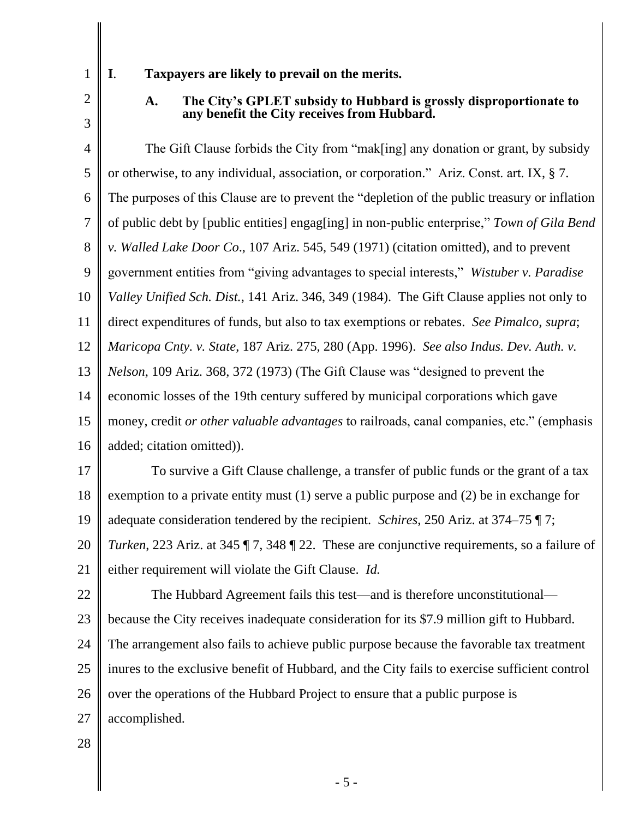# **I**. **Taxpayers are likely to prevail on the merits.**

2 3

# **A. The City's GPLET subsidy to Hubbard is grossly disproportionate to any benefit the City receives from Hubbard.**

4 5 6 7 8 9 10 11 12 13 14 15 16 The Gift Clause forbids the City from "mak[ing] any donation or grant, by subsidy or otherwise, to any individual, association, or corporation." Ariz. Const. art. IX, § 7. The purposes of this Clause are to prevent the "depletion of the public treasury or inflation of public debt by [public entities] engag[ing] in non-public enterprise," *Town of Gila Bend v. Walled Lake Door Co*., 107 Ariz. 545, 549 (1971) (citation omitted), and to prevent government entities from "giving advantages to special interests," *Wistuber v. Paradise Valley Unified Sch. Dist.*, 141 Ariz. 346, 349 (1984). The Gift Clause applies not only to direct expenditures of funds, but also to tax exemptions or rebates. *See Pimalco, supra*; *Maricopa Cnty. v. State*, 187 Ariz. 275, 280 (App. 1996). *See also Indus. Dev. Auth. v. Nelson*, 109 Ariz. 368, 372 (1973) (The Gift Clause was "designed to prevent the economic losses of the 19th century suffered by municipal corporations which gave money, credit *or other valuable advantages* to railroads, canal companies, etc." (emphasis added; citation omitted)).

17 18 19 To survive a Gift Clause challenge, a transfer of public funds or the grant of a tax exemption to a private entity must (1) serve a public purpose and (2) be in exchange for adequate consideration tendered by the recipient. *Schires*, 250 Ariz. at 374–75 ¶ 7;

20 21 *Turken*, 223 Ariz. at 345 ¶ 7, 348 ¶ 22. These are conjunctive requirements, so a failure of either requirement will violate the Gift Clause. *Id.* 

22 23 24 25 26 27 The Hubbard Agreement fails this test—and is therefore unconstitutional because the City receives inadequate consideration for its \$7.9 million gift to Hubbard. The arrangement also fails to achieve public purpose because the favorable tax treatment inures to the exclusive benefit of Hubbard, and the City fails to exercise sufficient control over the operations of the Hubbard Project to ensure that a public purpose is accomplished.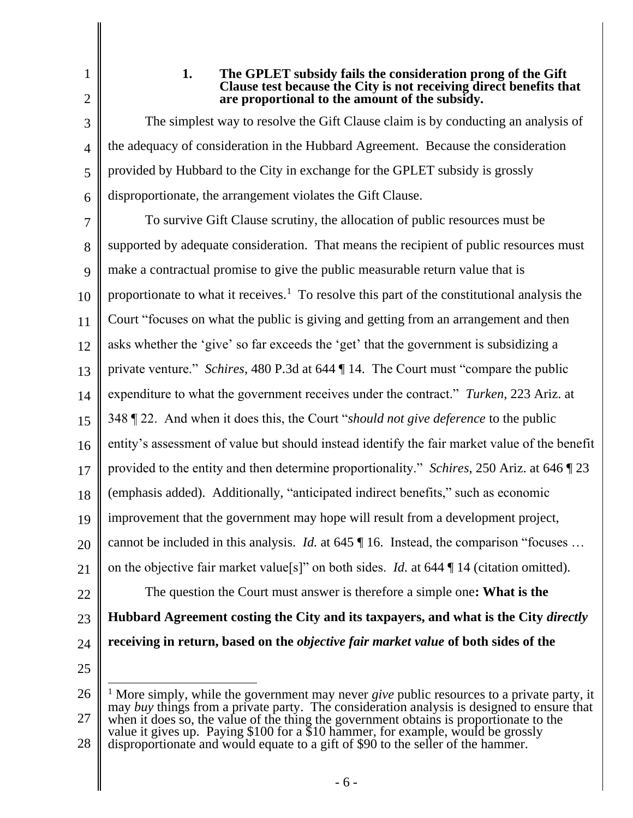3

4

5

6

# **1. The GPLET subsidy fails the consideration prong of the Gift Clause test because the City is not receiving direct benefits that are proportional to the amount of the subsidy.**

The simplest way to resolve the Gift Clause claim is by conducting an analysis of the adequacy of consideration in the Hubbard Agreement. Because the consideration provided by Hubbard to the City in exchange for the GPLET subsidy is grossly disproportionate, the arrangement violates the Gift Clause.

7 8 9 10 11 12 13 14 15 16 17 18 19 20 21 22 23 24 To survive Gift Clause scrutiny, the allocation of public resources must be supported by adequate consideration. That means the recipient of public resources must make a contractual promise to give the public measurable return value that is proportionate to what it receives.<sup>1</sup> To resolve this part of the constitutional analysis the Court "focuses on what the public is giving and getting from an arrangement and then asks whether the 'give' so far exceeds the 'get' that the government is subsidizing a private venture." *Schires*, 480 P.3d at 644 ¶ 14. The Court must "compare the public expenditure to what the government receives under the contract." *Turken*, 223 Ariz. at 348 ¶ 22. And when it does this, the Court "*should not give deference* to the public entity's assessment of value but should instead identify the fair market value of the benefit provided to the entity and then determine proportionality." *Schires*, 250 Ariz. at 646 ¶ 23 (emphasis added). Additionally, "anticipated indirect benefits," such as economic improvement that the government may hope will result from a development project, cannot be included in this analysis. *Id.* at 645 | 16. Instead, the comparison "focuses ... on the objective fair market value[s]" on both sides. *Id.* at 644 ¶ 14 (citation omitted). The question the Court must answer is therefore a simple one**: What is the Hubbard Agreement costing the City and its taxpayers, and what is the City** *directly* **receiving in return, based on the** *objective fair market value* **of both sides of the** 

<sup>26</sup> 27 28 <sup>1</sup> More simply, while the government may never *give* public resources to a private party, it may *buy* things from a private party. The consideration analysis is designed to ensure that when it does so, the value of the thing the government obtains is proportionate to the value it gives up. Paying \$100 for a \$10 hammer, for example, would be grossly disproportionate and would equate to a gift of \$90 to the seller of the hammer.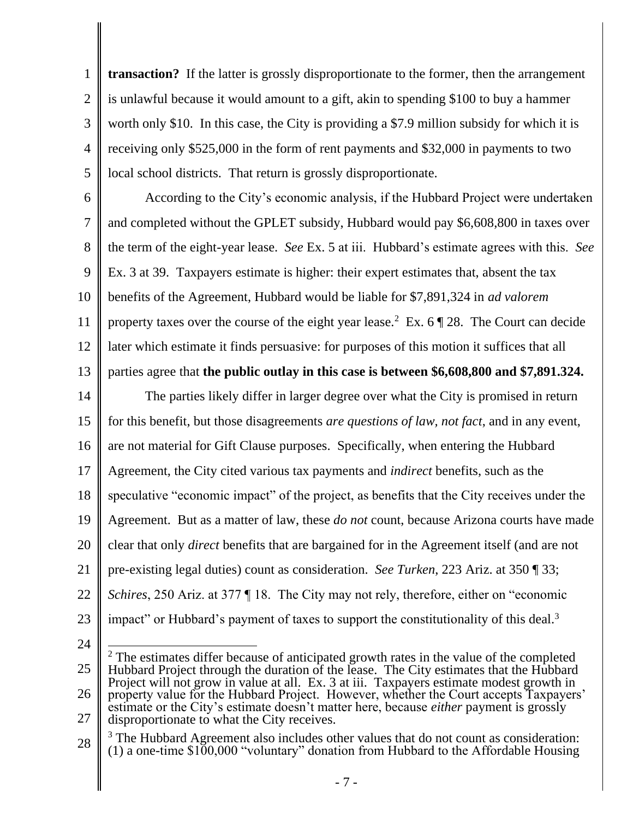1 2 3 4 5 **transaction?** If the latter is grossly disproportionate to the former, then the arrangement is unlawful because it would amount to a gift, akin to spending \$100 to buy a hammer worth only \$10. In this case, the City is providing a \$7.9 million subsidy for which it is receiving only \$525,000 in the form of rent payments and \$32,000 in payments to two local school districts. That return is grossly disproportionate.

6 7 8 9 10 11 12 According to the City's economic analysis, if the Hubbard Project were undertaken and completed without the GPLET subsidy, Hubbard would pay \$6,608,800 in taxes over the term of the eight-year lease. *See* Ex. 5 at iii. Hubbard's estimate agrees with this. *See* Ex. 3 at 39. Taxpayers estimate is higher: their expert estimates that, absent the tax benefits of the Agreement, Hubbard would be liable for \$7,891,324 in *ad valorem* property taxes over the course of the eight year lease.<sup>2</sup> Ex.  $6 \sqrt{28}$ . The Court can decide later which estimate it finds persuasive: for purposes of this motion it suffices that all

13 parties agree that **the public outlay in this case is between \$6,608,800 and \$7,891.324.** 

14 15 16 17 18 19 20 21 22 23 The parties likely differ in larger degree over what the City is promised in return for this benefit, but those disagreements *are questions of law, not fact*, and in any event, are not material for Gift Clause purposes. Specifically, when entering the Hubbard Agreement, the City cited various tax payments and *indirect* benefits, such as the speculative "economic impact" of the project, as benefits that the City receives under the Agreement. But as a matter of law, these *do not* count, because Arizona courts have made clear that only *direct* benefits that are bargained for in the Agreement itself (and are not pre-existing legal duties) count as consideration. *See Turken*, 223 Ariz. at 350 ¶ 33; *Schires*, 250 Ariz. at 377 ¶ 18. The City may not rely, therefore, either on "economic impact" or Hubbard's payment of taxes to support the constitutionality of this deal.<sup>3</sup>

<sup>25</sup> 26 27  $2$  The estimates differ because of anticipated growth rates in the value of the completed Hubbard Project through the duration of the lease. The City estimates that the Hubbard Project will not grow in value at all. Ex. 3 at iii. Taxpayers estimate modest growth in property value for the Hubbard Project. However, whether the Court accepts Taxpayers' estimate or the City's estimate doesn't matter here, because *either* payment is grossly disproportionate to what the City receives.

<sup>28</sup> <sup>3</sup> The Hubbard Agreement also includes other values that do not count as consideration:  $(1)$  a one-time \$100,000 "voluntary" donation from Hubbard to the Affordable Housing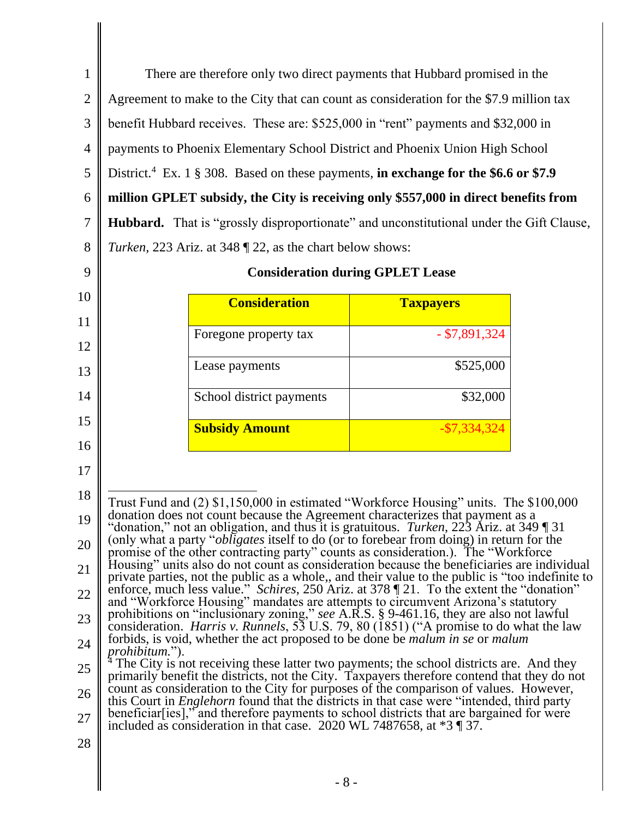1 2 3 4 5 6 7 8 There are therefore only two direct payments that Hubbard promised in the Agreement to make to the City that can count as consideration for the \$7.9 million tax benefit Hubbard receives. These are: \$525,000 in "rent" payments and \$32,000 in payments to Phoenix Elementary School District and Phoenix Union High School District.<sup>4</sup> Ex. 1 § 308. Based on these payments, **in exchange for the \$6.6 or \$7.9 million GPLET subsidy, the City is receiving only \$557,000 in direct benefits from Hubbard.** That is "grossly disproportionate" and unconstitutional under the Gift Clause, *Turken,* 223 Ariz. at 348 ¶ 22, as the chart below shows:

| <b>Consideration</b>     | <b>Taxpayers</b> |
|--------------------------|------------------|
| Foregone property tax    | $-$ \$7,891,324  |
| Lease payments           | \$525,000        |
| School district payments | \$32,000         |
| <b>Subsidy Amount</b>    | $-$ \$7,334,324  |

9

10

11

12

13

14

15

16

17

# **Consideration during GPLET Lease**

| 18 | Trust Fund and (2) \$1,150,000 in estimated "Workforce Housing" units. The \$100,000                                                                                                                |
|----|-----------------------------------------------------------------------------------------------------------------------------------------------------------------------------------------------------|
| 19 | donation does not count because the Agreement characterizes that payment as a<br>"donation," not an obligation, and thus it is gratuitous. <i>Turken</i> , 223 Ariz. at 349   31                    |
| 20 | (only what a party " <i>obligates</i> itself to do (or to forebear from doing) in return for the<br>promise of the other contracting party" counts as consideration.). The "Workforce"              |
| 21 | Housing" units also do not count as consideration because the beneficiaries are individual<br>private parties, not the public as a whole,, and their value to the public is "too indefinite to      |
| 22 | enforce, much less value." Schires, 250 Ariz. at 378 [21. To the extent the "donation"<br>and "Workforce Housing" mandates are attempts to circumvent Arizona's statutory                           |
| 23 | prohibitions on "inclusionary zoning," see A.R.S. § 9-461.16, they are also not lawful<br>consideration. <i>Harris v. Runnels</i> , 53 U.S. 79, 80 (1851) ("A promise to do what the law            |
| 24 | forbids, is void, whether the act proposed to be done be <i>malum</i> in se or <i>malum</i><br><i>prohibitum.</i> ").                                                                               |
| 25 | <sup>4</sup> The City is not receiving these latter two payments; the school districts are. And they<br>primarily benefit the districts, not the City. Taxpayers therefore contend that they do not |
| 26 | count as consideration to the City for purposes of the comparison of values. However,<br>this Court in <i>Englehorn</i> found that the districts in that case were "intended, third party           |
| 27 | beneficiar [ies]," and therefore payments to school districts that are bargained for were<br>included as consideration in that case. 2020 WL 7487658, at *3 ¶ 37.                                   |
| 28 |                                                                                                                                                                                                     |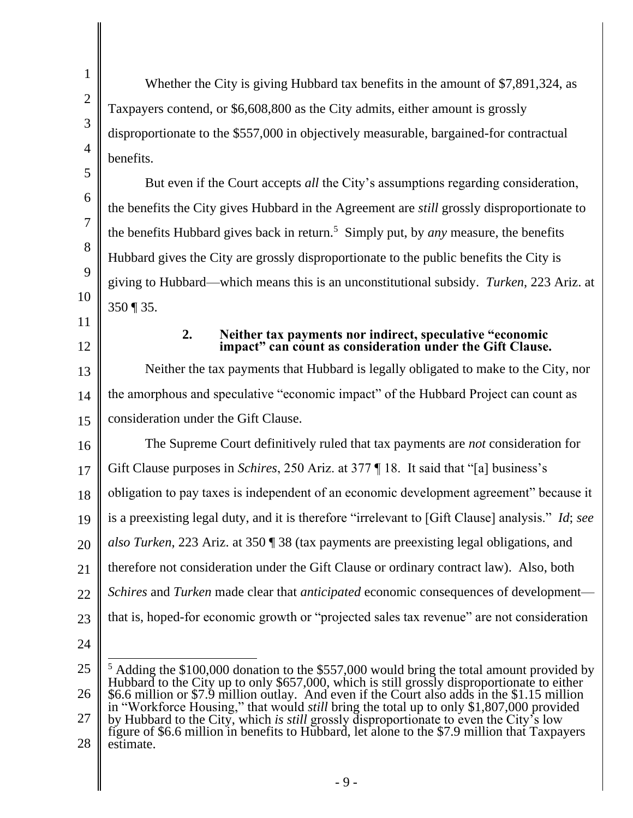1 2 3 4 5 6 7 8 9 10 Whether the City is giving Hubbard tax benefits in the amount of \$7,891,324, as Taxpayers contend, or \$6,608,800 as the City admits, either amount is grossly disproportionate to the \$557,000 in objectively measurable, bargained-for contractual benefits. But even if the Court accepts *all* the City's assumptions regarding consideration, the benefits the City gives Hubbard in the Agreement are *still* grossly disproportionate to the benefits Hubbard gives back in return.<sup>5</sup> Simply put, by *any* measure, the benefits Hubbard gives the City are grossly disproportionate to the public benefits the City is giving to Hubbard—which means this is an unconstitutional subsidy. *Turken*, 223 Ariz. at 350 ¶ 35.

- 11
- 12

#### **2. Neither tax payments nor indirect, speculative "economic impact" can count as consideration under the Gift Clause.**

13 14 15 Neither the tax payments that Hubbard is legally obligated to make to the City, nor the amorphous and speculative "economic impact" of the Hubbard Project can count as consideration under the Gift Clause.

16 17 18 19 20 21 22 23 The Supreme Court definitively ruled that tax payments are *not* consideration for Gift Clause purposes in *Schires*, 250 Ariz. at 377 ¶ 18. It said that "[a] business's obligation to pay taxes is independent of an economic development agreement" because it is a preexisting legal duty, and it is therefore "irrelevant to [Gift Clause] analysis." *Id*; *see also Turken*, 223 Ariz. at 350 ¶ 38 (tax payments are preexisting legal obligations, and therefore not consideration under the Gift Clause or ordinary contract law). Also, both *Schires* and *Turken* made clear that *anticipated* economic consequences of development that is, hoped-for economic growth or "projected sales tax revenue" are not consideration

<sup>25</sup> 26 27 28 <sup>5</sup> Adding the \$100,000 donation to the \$557,000 would bring the total amount provided by Hubbard to the City up to only \$657,000, which is still grossly disproportionate to either \$6.6 million or \$7.9 million outlay. And even if the Court also adds in the \$1.15 million in "Workforce Housing," that would *still* bring the total up to only \$1,807,000 provided by Hubbard to the City, which *is still* grossly disproportionate to even the City's low figure of \$6.6 million in benefits to Hubbard, let alone to the \$7.9 million that Taxpayers estimate.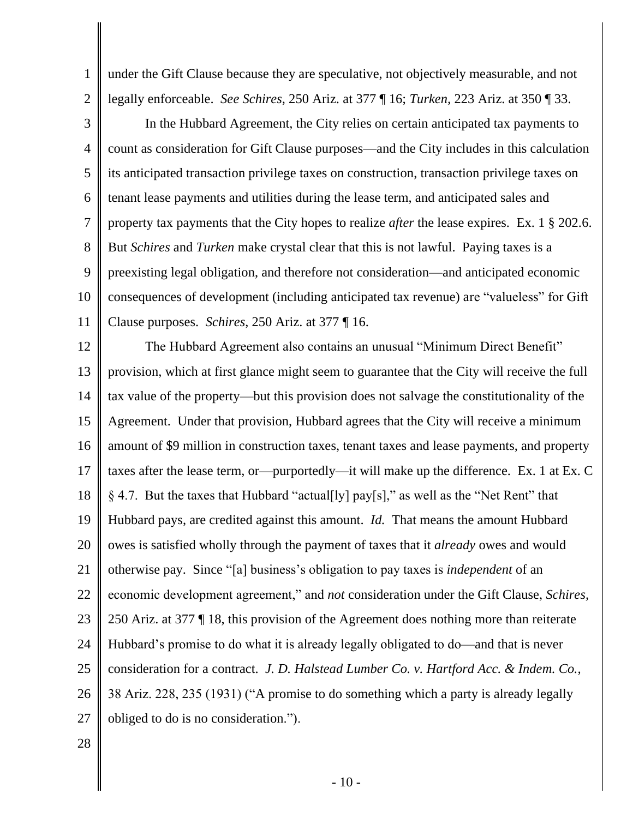under the Gift Clause because they are speculative, not objectively measurable, and not legally enforceable. *See Schires,* 250 Ariz. at 377 ¶ 16; *Turken,* 223 Ariz. at 350 ¶ 33.

3 4 5 6 7 8 9 10 11 In the Hubbard Agreement, the City relies on certain anticipated tax payments to count as consideration for Gift Clause purposes—and the City includes in this calculation its anticipated transaction privilege taxes on construction, transaction privilege taxes on tenant lease payments and utilities during the lease term, and anticipated sales and property tax payments that the City hopes to realize *after* the lease expires. Ex. 1 § 202.6. But *Schires* and *Turken* make crystal clear that this is not lawful. Paying taxes is a preexisting legal obligation, and therefore not consideration—and anticipated economic consequences of development (including anticipated tax revenue) are "valueless" for Gift Clause purposes. *Schires*, 250 Ariz. at 377 ¶ 16.

12 13 14 15 16 17 18 19 20 21 22 23 24 25 26 27 The Hubbard Agreement also contains an unusual "Minimum Direct Benefit" provision, which at first glance might seem to guarantee that the City will receive the full tax value of the property—but this provision does not salvage the constitutionality of the Agreement. Under that provision, Hubbard agrees that the City will receive a minimum amount of \$9 million in construction taxes, tenant taxes and lease payments, and property taxes after the lease term, or—purportedly—it will make up the difference. Ex. 1 at Ex. C § 4.7. But the taxes that Hubbard "actual[ly] pay[s]," as well as the "Net Rent" that Hubbard pays, are credited against this amount. *Id.* That means the amount Hubbard owes is satisfied wholly through the payment of taxes that it *already* owes and would otherwise pay. Since "[a] business's obligation to pay taxes is *independent* of an economic development agreement," and *not* consideration under the Gift Clause, *Schires,*  250 Ariz. at 377 ¶ 18, this provision of the Agreement does nothing more than reiterate Hubbard's promise to do what it is already legally obligated to do—and that is never consideration for a contract. *J. D. Halstead Lumber Co. v. Hartford Acc. & Indem. Co.,* 38 Ariz. 228, 235 (1931) ("A promise to do something which a party is already legally obliged to do is no consideration.").

28

1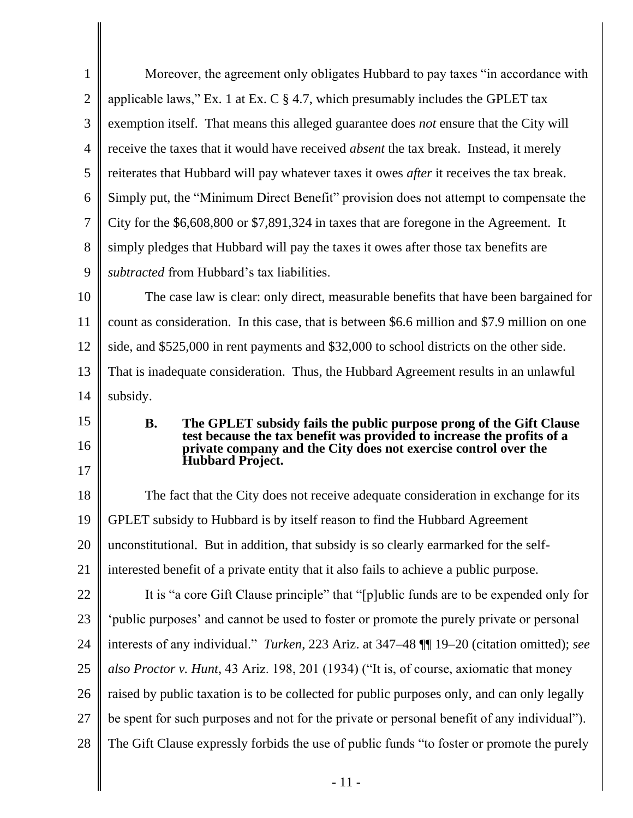| $\mathbf{1}$                           | Moreover, the agreement only obligates Hubbard to pay taxes "in accordance with                                                                                                                                  |
|----------------------------------------|------------------------------------------------------------------------------------------------------------------------------------------------------------------------------------------------------------------|
| $\overline{2}$                         | applicable laws," Ex. 1 at Ex. C $\S$ 4.7, which presumably includes the GPLET tax                                                                                                                               |
| 3                                      | exemption itself. That means this alleged guarantee does <i>not</i> ensure that the City will                                                                                                                    |
| 4                                      | receive the taxes that it would have received <i>absent</i> the tax break. Instead, it merely                                                                                                                    |
| 5                                      | reiterates that Hubbard will pay whatever taxes it owes <i>after</i> it receives the tax break.                                                                                                                  |
| 6                                      | Simply put, the "Minimum Direct Benefit" provision does not attempt to compensate the                                                                                                                            |
| 7                                      | City for the \$6,608,800 or \$7,891,324 in taxes that are foregone in the Agreement. It                                                                                                                          |
| 8                                      | simply pledges that Hubbard will pay the taxes it owes after those tax benefits are                                                                                                                              |
| 9                                      | subtracted from Hubbard's tax liabilities.                                                                                                                                                                       |
| 10                                     | The case law is clear: only direct, measurable benefits that have been bargained for                                                                                                                             |
| 11                                     | count as consideration. In this case, that is between \$6.6 million and \$7.9 million on one                                                                                                                     |
| 12                                     | side, and \$525,000 in rent payments and \$32,000 to school districts on the other side.                                                                                                                         |
| 13                                     | That is inadequate consideration. Thus, the Hubbard Agreement results in an unlawful                                                                                                                             |
| 14                                     | subsidy.                                                                                                                                                                                                         |
|                                        |                                                                                                                                                                                                                  |
| 15                                     | <b>B.</b>                                                                                                                                                                                                        |
| 16                                     | The GPLET subsidy fails the public purpose prong of the Gift Clause<br>test because the tax benefit was provided to increase the profits of a<br>private company and the City does not exercise control over the |
| 17                                     | <b>Hubbard Project.</b>                                                                                                                                                                                          |
| 18                                     | The fact that the City does not receive adequate consideration in exchange for its                                                                                                                               |
| 19                                     | GPLET subsidy to Hubbard is by itself reason to find the Hubbard Agreement                                                                                                                                       |
| 20                                     | unconstitutional. But in addition, that subsidy is so clearly earmarked for the self-                                                                                                                            |
|                                        | interested benefit of a private entity that it also fails to achieve a public purpose.                                                                                                                           |
|                                        | It is "a core Gift Clause principle" that "[p]ublic funds are to be expended only for                                                                                                                            |
|                                        | 'public purposes' and cannot be used to foster or promote the purely private or personal                                                                                                                         |
|                                        | interests of any individual." Turken, 223 Ariz. at 347–48 [[1] 19–20 (citation omitted); see                                                                                                                     |
|                                        | also Proctor v. Hunt, 43 Ariz. 198, 201 (1934) ("It is, of course, axiomatic that money                                                                                                                          |
|                                        | raised by public taxation is to be collected for public purposes only, and can only legally                                                                                                                      |
| 21<br>22<br>23<br>24<br>25<br>26<br>27 | be spent for such purposes and not for the private or personal benefit of any individual").                                                                                                                      |
| 28                                     | The Gift Clause expressly forbids the use of public funds "to foster or promote the purely                                                                                                                       |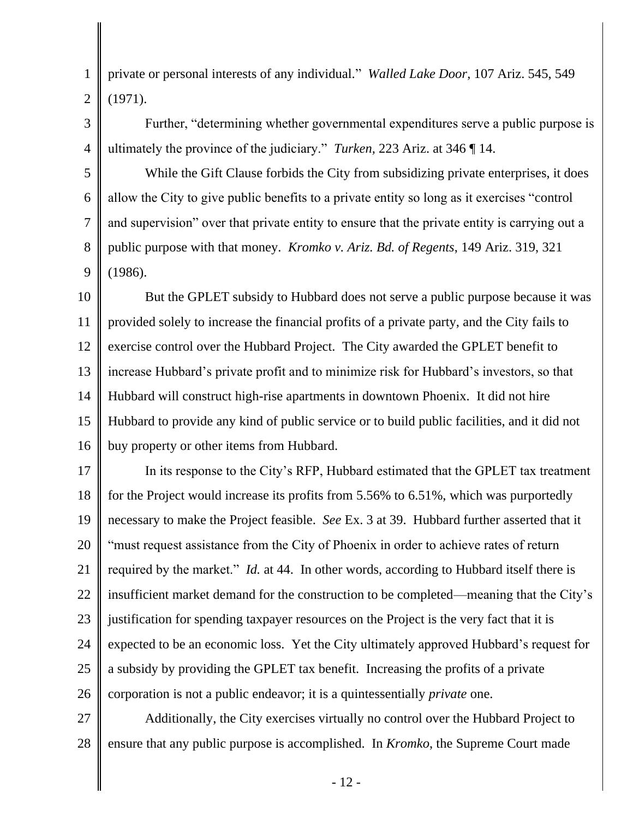private or personal interests of any individual." *Walled Lake Door*, 107 Ariz. 545, 549 (1971).

1

2

3

4

Further, "determining whether governmental expenditures serve a public purpose is ultimately the province of the judiciary." *Turken,* 223 Ariz. at 346 ¶ 14.

5 6 7 8 9 While the Gift Clause forbids the City from subsidizing private enterprises, it does allow the City to give public benefits to a private entity so long as it exercises "control and supervision" over that private entity to ensure that the private entity is carrying out a public purpose with that money. *Kromko v. Ariz. Bd. of Regents*, 149 Ariz. 319, 321 (1986).

10 11 12 13 14 15 16 But the GPLET subsidy to Hubbard does not serve a public purpose because it was provided solely to increase the financial profits of a private party, and the City fails to exercise control over the Hubbard Project. The City awarded the GPLET benefit to increase Hubbard's private profit and to minimize risk for Hubbard's investors, so that Hubbard will construct high-rise apartments in downtown Phoenix. It did not hire Hubbard to provide any kind of public service or to build public facilities, and it did not buy property or other items from Hubbard.

17 18 19 20 21 22 23 24 25 26 In its response to the City's RFP, Hubbard estimated that the GPLET tax treatment for the Project would increase its profits from 5.56% to 6.51%, which was purportedly necessary to make the Project feasible. *See* Ex. 3 at 39. Hubbard further asserted that it "must request assistance from the City of Phoenix in order to achieve rates of return required by the market." *Id.* at 44. In other words, according to Hubbard itself there is insufficient market demand for the construction to be completed—meaning that the City's justification for spending taxpayer resources on the Project is the very fact that it is expected to be an economic loss. Yet the City ultimately approved Hubbard's request for a subsidy by providing the GPLET tax benefit. Increasing the profits of a private corporation is not a public endeavor; it is a quintessentially *private* one.

27 28 Additionally, the City exercises virtually no control over the Hubbard Project to ensure that any public purpose is accomplished. In *Kromko*, the Supreme Court made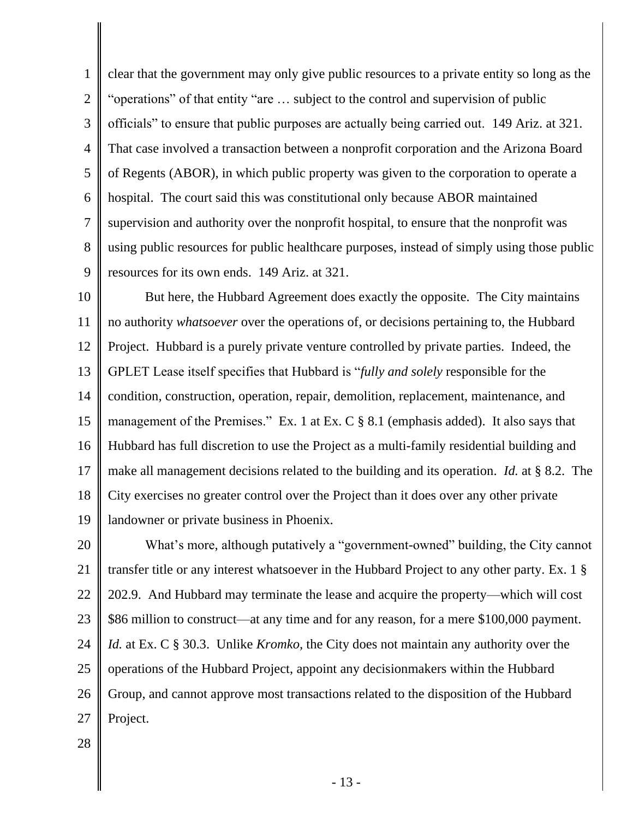1 2 3 4 5 6 7 8 9 clear that the government may only give public resources to a private entity so long as the "operations" of that entity "are … subject to the control and supervision of public officials" to ensure that public purposes are actually being carried out. 149 Ariz. at 321. That case involved a transaction between a nonprofit corporation and the Arizona Board of Regents (ABOR), in which public property was given to the corporation to operate a hospital. The court said this was constitutional only because ABOR maintained supervision and authority over the nonprofit hospital, to ensure that the nonprofit was using public resources for public healthcare purposes, instead of simply using those public resources for its own ends. 149 Ariz. at 321.

10 11 12 13 14 15 16 17 18 19 But here, the Hubbard Agreement does exactly the opposite. The City maintains no authority *whatsoever* over the operations of, or decisions pertaining to, the Hubbard Project. Hubbard is a purely private venture controlled by private parties. Indeed, the GPLET Lease itself specifies that Hubbard is "*fully and solely* responsible for the condition, construction, operation, repair, demolition, replacement, maintenance, and management of the Premises." Ex. 1 at Ex. C § 8.1 (emphasis added). It also says that Hubbard has full discretion to use the Project as a multi-family residential building and make all management decisions related to the building and its operation. *Id.* at § 8.2. The City exercises no greater control over the Project than it does over any other private landowner or private business in Phoenix.

20 21 22 23 24 25 26 27 What's more, although putatively a "government-owned" building, the City cannot transfer title or any interest whatsoever in the Hubbard Project to any other party. Ex. 1 § 202.9. And Hubbard may terminate the lease and acquire the property—which will cost \$86 million to construct—at any time and for any reason, for a mere \$100,000 payment. *Id.* at Ex. C § 30.3. Unlike *Kromko,* the City does not maintain any authority over the operations of the Hubbard Project, appoint any decisionmakers within the Hubbard Group, and cannot approve most transactions related to the disposition of the Hubbard Project.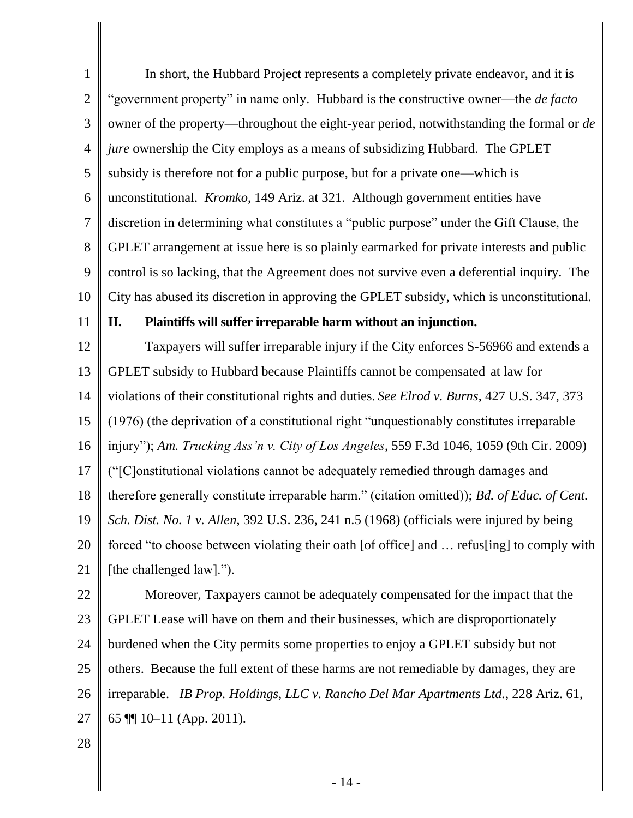1 2 3 4 5 6 7 8 9 10 In short, the Hubbard Project represents a completely private endeavor, and it is "government property" in name only. Hubbard is the constructive owner—the *de facto*  owner of the property—throughout the eight-year period, notwithstanding the formal or *de jure* ownership the City employs as a means of subsidizing Hubbard. The GPLET subsidy is therefore not for a public purpose, but for a private one—which is unconstitutional. *Kromko*, 149 Ariz. at 321. Although government entities have discretion in determining what constitutes a "public purpose" under the Gift Clause, the GPLET arrangement at issue here is so plainly earmarked for private interests and public control is so lacking, that the Agreement does not survive even a deferential inquiry. The City has abused its discretion in approving the GPLET subsidy, which is unconstitutional.

11

## **II. Plaintiffs will suffer irreparable harm without an injunction.**

12 13 14 15 16 17 18 19 20 21 Taxpayers will suffer irreparable injury if the City enforces S-56966 and extends a GPLET subsidy to Hubbard because Plaintiffs cannot be compensated at law for violations of their constitutional rights and duties. *See Elrod v. Burns*, 427 U.S. 347, 373 (1976) (the deprivation of a constitutional right "unquestionably constitutes irreparable injury"); *Am. Trucking Ass'n v. City of Los Angeles*, 559 F.3d 1046, 1059 (9th Cir. 2009) ("[C]onstitutional violations cannot be adequately remedied through damages and therefore generally constitute irreparable harm." (citation omitted)); *Bd. of Educ. of Cent. Sch. Dist. No. 1 v. Allen*, 392 U.S. 236, 241 n.5 (1968) (officials were injured by being forced "to choose between violating their oath [of office] and … refus[ing] to comply with [the challenged law].").

22 23 24 25 26 27 Moreover, Taxpayers cannot be adequately compensated for the impact that the GPLET Lease will have on them and their businesses, which are disproportionately burdened when the City permits some properties to enjoy a GPLET subsidy but not others. Because the full extent of these harms are not remediable by damages, they are irreparable. *IB Prop. Holdings, LLC v. Rancho Del Mar Apartments Ltd.*, 228 Ariz. 61, 65 ¶¶ 10–11 (App. 2011).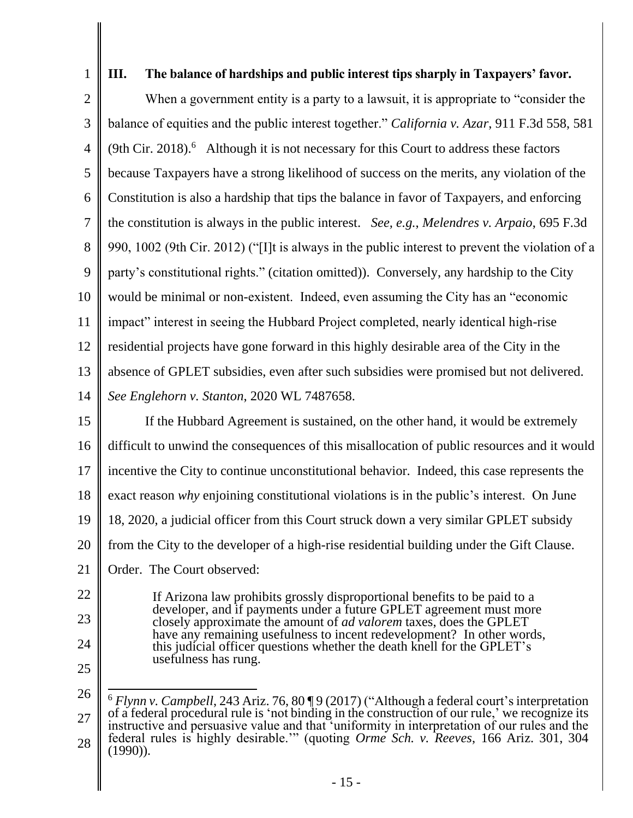# **III. The balance of hardships and public interest tips sharply in Taxpayers' favor.**

2 3 4 5 6 7 8 9 10 11 12 13 14 When a government entity is a party to a lawsuit, it is appropriate to "consider the balance of equities and the public interest together." *California v. Azar*, 911 F.3d 558, 581  $(9th Cir. 2018).$ <sup>6</sup> Although it is not necessary for this Court to address these factors because Taxpayers have a strong likelihood of success on the merits, any violation of the Constitution is also a hardship that tips the balance in favor of Taxpayers, and enforcing the constitution is always in the public interest. *See, e.g.*, *Melendres v. Arpaio*, 695 F.3d 990, 1002 (9th Cir. 2012) ("[I]t is always in the public interest to prevent the violation of a party's constitutional rights." (citation omitted)). Conversely, any hardship to the City would be minimal or non-existent. Indeed, even assuming the City has an "economic impact" interest in seeing the Hubbard Project completed, nearly identical high-rise residential projects have gone forward in this highly desirable area of the City in the absence of GPLET subsidies, even after such subsidies were promised but not delivered. *See Englehorn v. Stanton*, 2020 WL 7487658.

15 16 17 18 19 20 21 If the Hubbard Agreement is sustained, on the other hand, it would be extremely difficult to unwind the consequences of this misallocation of public resources and it would incentive the City to continue unconstitutional behavior. Indeed, this case represents the exact reason *why* enjoining constitutional violations is in the public's interest. On June 18, 2020, a judicial officer from this Court struck down a very similar GPLET subsidy from the City to the developer of a high-rise residential building under the Gift Clause. Order. The Court observed:

22

23

24

If Arizona law prohibits grossly disproportional benefits to be paid to a

- developer, and if payments under a future GPLET agreement must more closely approximate the amount of *ad valorem* taxes, does the GPLET have any remaining usefulness to incent redevelopment? In other words, this judicial officer questions whether the death knell for the GPLET's usefulness has rung.
- 25

<sup>26</sup> 27 28 <sup>6</sup> *Flynn v. Campbell*, 243 Ariz. 76, 80 ¶ 9 (2017) ("Although a federal court's interpretation of a federal procedural rule is 'not binding in the construction of our rule,' we recognize its instructive and persuasive value and that 'uniformity in interpretation of our rules and the federal rules is highly desirable.'" (quoting *Orme Sch. v. Reeves*, 166 Ariz. 301, 304 (1990)).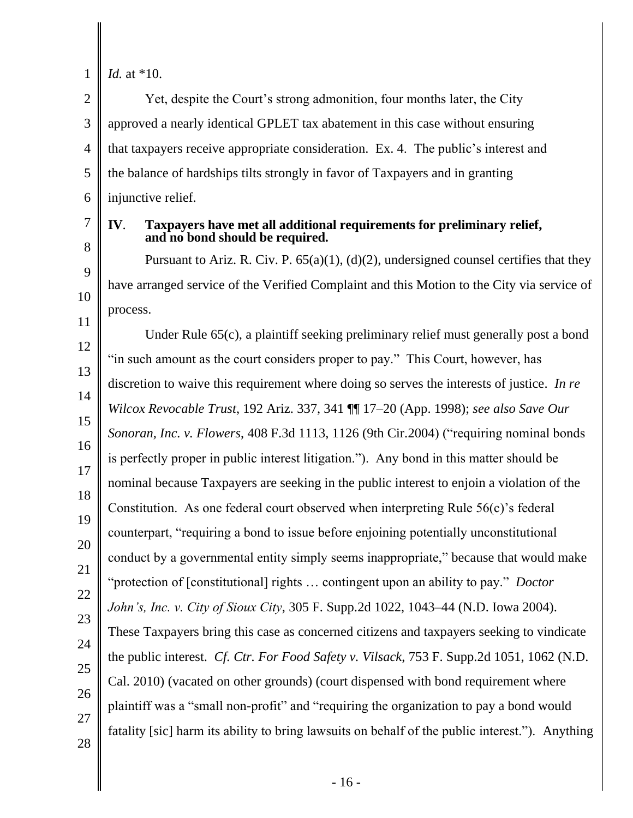# *Id.* at \*10.

2 3 4 5 6 Yet, despite the Court's strong admonition, four months later, the City approved a nearly identical GPLET tax abatement in this case without ensuring that taxpayers receive appropriate consideration. Ex. 4. The public's interest and the balance of hardships tilts strongly in favor of Taxpayers and in granting injunctive relief.

# 7 8

9

10

11

#### **IV**. **Taxpayers have met all additional requirements for preliminary relief, and no bond should be required.**

Pursuant to Ariz. R. Civ. P. 65(a)(1), (d)(2), undersigned counsel certifies that they have arranged service of the Verified Complaint and this Motion to the City via service of process.

12 13 14 15 16 17 18 19 20 21 22 23 24 25 26 27 28 Under Rule 65(c), a plaintiff seeking preliminary relief must generally post a bond "in such amount as the court considers proper to pay." This Court, however, has discretion to waive this requirement where doing so serves the interests of justice. *In re Wilcox Revocable Trust*, 192 Ariz. 337, 341 ¶¶ 17–20 (App. 1998); *see also Save Our Sonoran, Inc. v. Flowers*, 408 F.3d 1113, 1126 (9th Cir.2004) ("requiring nominal bonds is perfectly proper in public interest litigation."). Any bond in this matter should be nominal because Taxpayers are seeking in the public interest to enjoin a violation of the Constitution. As one federal court observed when interpreting Rule 56(c)'s federal counterpart, "requiring a bond to issue before enjoining potentially unconstitutional conduct by a governmental entity simply seems inappropriate," because that would make "protection of [constitutional] rights … contingent upon an ability to pay." *Doctor John's, Inc. v. City of Sioux City*, 305 F. Supp.2d 1022, 1043–44 (N.D. Iowa 2004). These Taxpayers bring this case as concerned citizens and taxpayers seeking to vindicate the public interest. *Cf. Ctr. For Food Safety v. Vilsack*, 753 F. Supp.2d 1051, 1062 (N.D. Cal. 2010) (vacated on other grounds) (court dispensed with bond requirement where plaintiff was a "small non-profit" and "requiring the organization to pay a bond would fatality [sic] harm its ability to bring lawsuits on behalf of the public interest."). Anything